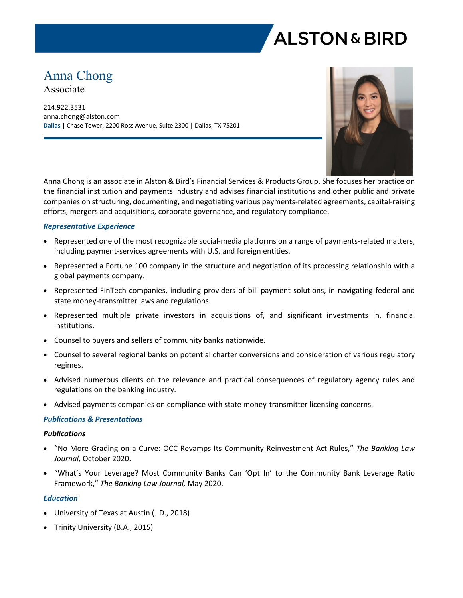

# Anna Chong

Associate

214.922.3531 anna.chong@alston.com **Dallas** | Chase Tower, 2200 Ross Avenue, Suite 2300 | Dallas, TX 75201



Anna Chong is an associate in Alston & Bird's Financial Services & Products Group. She focuses her practice on the financial institution and payments industry and advises financial institutions and other public and private companies on structuring, documenting, and negotiating various payments-related agreements, capital-raising efforts, mergers and acquisitions, corporate governance, and regulatory compliance.

#### *Representative Experience*

- Represented one of the most recognizable social-media platforms on a range of payments-related matters, including payment-services agreements with U.S. and foreign entities.
- Represented a Fortune 100 company in the structure and negotiation of its processing relationship with a global payments company.
- Represented FinTech companies, including providers of bill-payment solutions, in navigating federal and state money-transmitter laws and regulations.
- Represented multiple private investors in acquisitions of, and significant investments in, financial institutions.
- Counsel to buyers and sellers of community banks nationwide.
- Counsel to several regional banks on potential charter conversions and consideration of various regulatory regimes.
- Advised numerous clients on the relevance and practical consequences of regulatory agency rules and regulations on the banking industry.
- Advised payments companies on compliance with state money-transmitter licensing concerns.

#### *Publications & Presentations*

#### *Publications*

- "No More Grading on a Curve: OCC Revamps Its Community Reinvestment Act Rules," *The Banking Law Journal,* October 2020.
- "What's Your Leverage? Most Community Banks Can 'Opt In' to the Community Bank Leverage Ratio Framework," *The Banking Law Journal,* May 2020.

#### *Education*

- University of Texas at Austin (J.D., 2018)
- Trinity University (B.A., 2015)